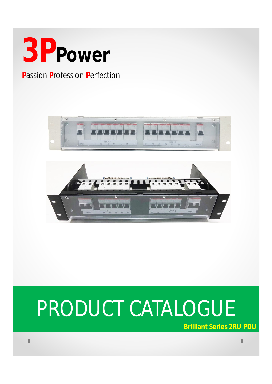

# **Passion Profession Perfection**





# PRODUCT CATALOGUE

**Brilliant Series 2RU PDU**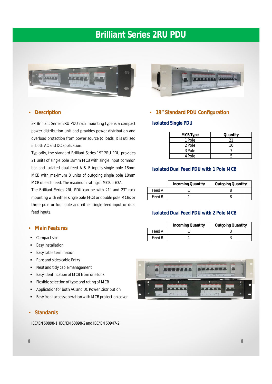# **Brilliant Series 2RU PDU**



#### • **Description**

3P Brilliant Series 2RU PDU rack mounting type is a compact power distribution unit and provides power distribution and overload protection from power source to loads. It is utilized in both AC and DC application.

Typically, the standard Brilliant Series 19" 2RU PDU provides 21 units of single pole 18mm MCB with single input common bar and isolated dual feed A & B inputs single pole 18mm MCB with maximum 8 units of outgoing single pole 18mm MCB of each feed. The maximum rating of MCB is 63A.

The Brilliant Series 2RU PDU can be with 21" and 23" rack mounting with either single pole MCB or double pole MCBs or three pole or four pole and either single feed input or dual feed inputs.

#### • **Main Features**

- Compact size
- Easy Installation
- **Easy cable termination**
- Rare and sides cable Entry
- Neat and tidy cable management
- Easy identification of MCB from one look
- Flexible selection of type and rating of MCB
- Application for both AC and DC Power Distribution
- Easy front access operation with MCB protection cover

#### • **Standards**

IEC/EN60898-1, IEC/EN60898-2 and IEC/EN60947-2



#### • **19" Standard PDU Configuration**

#### **Isolated Single PDU**

| <b>MCB Type</b> | Quantity |
|-----------------|----------|
| 1 Pole          |          |
| 2 Pole          | 10       |
| 3 Pole          |          |
| 4 Pole          |          |

### **Isolated Dual Feed PDU with 1 Pole MCB**

|        | <b>Incoming Quantity</b> | <b>Outgoing Quantity</b> |
|--------|--------------------------|--------------------------|
| Feed A |                          |                          |
| Feed B |                          |                          |

#### **Isolated Dual Feed PDU with 2 Pole MCB**

|        | <b>Incoming Quantity</b> | <b>Outgoing Quantity</b> |
|--------|--------------------------|--------------------------|
| Feed A |                          |                          |
| Feed B |                          |                          |